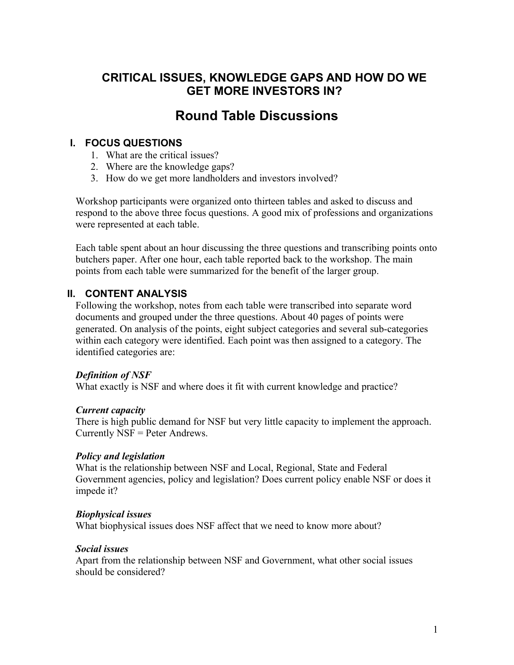## **CRITICAL ISSUES, KNOWLEDGE GAPS AND HOW DO WE GET MORE INVESTORS IN?**

# **Round Table Discussions**

#### **I. FOCUS QUESTIONS**

- 1. What are the critical issues?
- 2. Where are the knowledge gaps?
- 3. How do we get more landholders and investors involved?

Workshop participants were organized onto thirteen tables and asked to discuss and respond to the above three focus questions. A good mix of professions and organizations were represented at each table.

Each table spent about an hour discussing the three questions and transcribing points onto butchers paper. After one hour, each table reported back to the workshop. The main points from each table were summarized for the benefit of the larger group.

#### **II. CONTENT ANALYSIS**

Following the workshop, notes from each table were transcribed into separate word documents and grouped under the three questions. About 40 pages of points were generated. On analysis of the points, eight subject categories and several sub-categories within each category were identified. Each point was then assigned to a category. The identified categories are:

#### *Definition of NSF*

What exactly is NSF and where does it fit with current knowledge and practice?

#### *Current capacity*

There is high public demand for NSF but very little capacity to implement the approach. Currently NSF = Peter Andrews.

#### *Policy and legislation*

What is the relationship between NSF and Local, Regional, State and Federal Government agencies, policy and legislation? Does current policy enable NSF or does it impede it?

#### *Biophysical issues*

What biophysical issues does NSF affect that we need to know more about?

#### *Social issues*

Apart from the relationship between NSF and Government, what other social issues should be considered?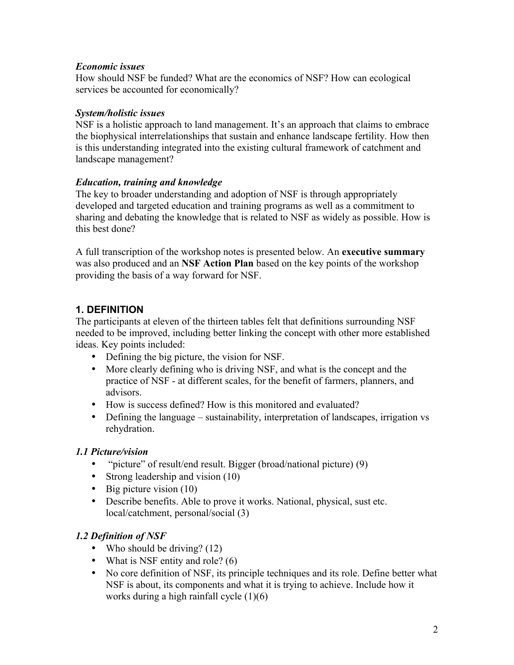#### *Economic issues*

How should NSF be funded? What are the economics of NSF? How can ecological services be accounted for economically?

#### *System/holistic issues*

NSF is a holistic approach to land management. It's an approach that claims to embrace the biophysical interrelationships that sustain and enhance landscape fertility. How then is this understanding integrated into the existing cultural framework of catchment and landscape management?

### *Education, training and knowledge*

The key to broader understanding and adoption of NSF is through appropriately developed and targeted education and training programs as well as a commitment to sharing and debating the knowledge that is related to NSF as widely as possible. How is this best done?

A full transcription of the workshop notes is presented below. An **executive summary** was also produced and an **NSF Action Plan** based on the key points of the workshop providing the basis of a way forward for NSF.

## **1. DEFINITION**

The participants at eleven of the thirteen tables felt that definitions surrounding NSF needed to be improved, including better linking the concept with other more established ideas. Key points included:

- Defining the big picture, the vision for NSF.
- More clearly defining who is driving NSF, and what is the concept and the practice of NSF - at different scales, for the benefit of farmers, planners, and advisors.
- How is success defined? How is this monitored and evaluated?
- Defining the language sustainability, interpretation of landscapes, irrigation vs rehydration.

## *1.1 Picture/vision*

- "picture" of result/end result. Bigger (broad/national picture) (9)
- Strong leadership and vision (10)
- Big picture vision  $(10)$
- Describe benefits. Able to prove it works. National, physical, sust etc. local/catchment, personal/social (3)

## *1.2 Definition of NSF*

- Who should be driving? (12)
- What is NSF entity and role? (6)
- No core definition of NSF, its principle techniques and its role. Define better what NSF is about, its components and what it is trying to achieve. Include how it works during a high rainfall cycle  $(1)(6)$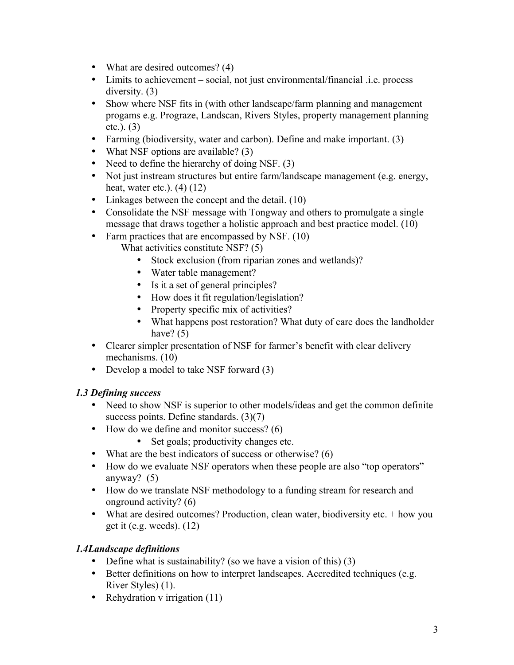- What are desired outcomes? (4)
- Limits to achievement social, not just environmental/financial .i.e. process diversity. (3)
- Show where NSF fits in (with other landscape/farm planning and management progams e.g. Prograze, Landscan, Rivers Styles, property management planning etc.). (3)
- Farming (biodiversity, water and carbon). Define and make important. (3)
- What NSF options are available? (3)
- Need to define the hierarchy of doing NSF. (3)
- Not just instream structures but entire farm/landscape management (e.g. energy, heat, water etc.). (4) (12)
- Linkages between the concept and the detail. (10)
- Consolidate the NSF message with Tongway and others to promulgate a single message that draws together a holistic approach and best practice model. (10)
- Farm practices that are encompassed by NSF. (10) What activities constitute NSF? (5)
	- Stock exclusion (from riparian zones and wetlands)?
	- Water table management?
	- Is it a set of general principles?
	- How does it fit regulation/legislation?
	- Property specific mix of activities?
	- What happens post restoration? What duty of care does the landholder have?  $(5)$
- Clearer simpler presentation of NSF for farmer's benefit with clear delivery mechanisms. (10)
- Develop a model to take NSF forward (3)

## *1.3 Defining success*

- Need to show NSF is superior to other models/ideas and get the common definite success points. Define standards. (3)(7)
- How do we define and monitor success? (6)
	- Set goals; productivity changes etc.
- What are the best indicators of success or otherwise? (6)
- How do we evaluate NSF operators when these people are also "top operators" anyway? (5)
- How do we translate NSF methodology to a funding stream for research and onground activity? (6)
- What are desired outcomes? Production, clean water, biodiversity etc. + how you get it (e.g. weeds). (12)

## *1.4Landscape definitions*

- Define what is sustainability? (so we have a vision of this) (3)
- Better definitions on how to interpret landscapes. Accredited techniques (e.g. River Styles) (1).
- Rehydration v irrigation (11)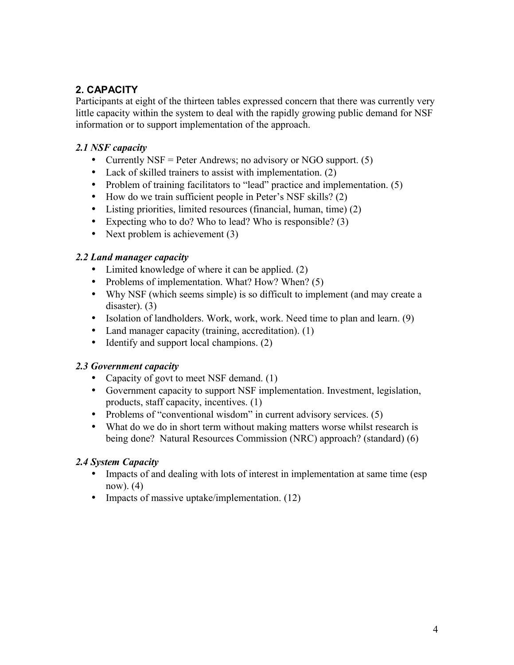## **2. CAPACITY**

Participants at eight of the thirteen tables expressed concern that there was currently very little capacity within the system to deal with the rapidly growing public demand for NSF information or to support implementation of the approach.

### *2.1 NSF capacity*

- Currently NSF = Peter Andrews; no advisory or NGO support.  $(5)$
- Lack of skilled trainers to assist with implementation. (2)
- Problem of training facilitators to "lead" practice and implementation. (5)
- How do we train sufficient people in Peter's NSF skills? (2)
- Listing priorities, limited resources (financial, human, time) (2)
- Expecting who to do? Who to lead? Who is responsible? (3)
- Next problem is achievement (3)

#### *2.2 Land manager capacity*

- Limited knowledge of where it can be applied. (2)
- Problems of implementation. What? How? When? (5)
- Why NSF (which seems simple) is so difficult to implement (and may create a disaster). (3)
- Isolation of landholders. Work, work, work. Need time to plan and learn. (9)
- Land manager capacity (training, accreditation). (1)
- Identify and support local champions. (2)

#### *2.3 Government capacity*

- Capacity of govt to meet NSF demand. (1)
- Government capacity to support NSF implementation. Investment, legislation, products, staff capacity, incentives. (1)
- Problems of "conventional wisdom" in current advisory services. (5)
- What do we do in short term without making matters worse whilst research is being done? Natural Resources Commission (NRC) approach? (standard) (6)

### *2.4 System Capacity*

- Impacts of and dealing with lots of interest in implementation at same time (esp) now). (4)
- Impacts of massive uptake/implementation. (12)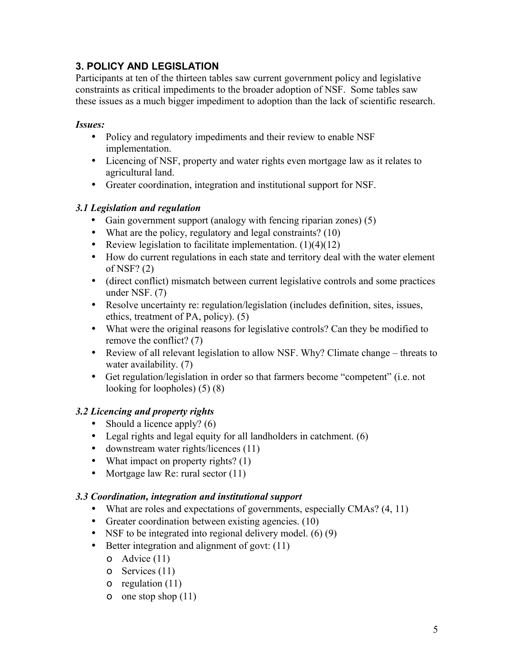## **3. POLICY AND LEGISLATION**

Participants at ten of the thirteen tables saw current government policy and legislative constraints as critical impediments to the broader adoption of NSF. Some tables saw these issues as a much bigger impediment to adoption than the lack of scientific research.

#### *Issues:*

- Policy and regulatory impediments and their review to enable NSF implementation.
- Licencing of NSF, property and water rights even mortgage law as it relates to agricultural land.
- Greater coordination, integration and institutional support for NSF.

#### *3.1 Legislation and regulation*

- Gain government support (analogy with fencing riparian zones) (5)
- What are the policy, regulatory and legal constraints? (10)
- Review legislation to facilitate implementation.  $(1)(4)(12)$
- How do current regulations in each state and territory deal with the water element of NSF? (2)
- (direct conflict) mismatch between current legislative controls and some practices under NSF. (7)
- Resolve uncertainty re: regulation/legislation (includes definition, sites, issues, ethics, treatment of PA, policy). (5)
- What were the original reasons for legislative controls? Can they be modified to remove the conflict? (7)
- Review of all relevant legislation to allow NSF. Why? Climate change threats to water availability. (7)
- Get regulation/legislation in order so that farmers become "competent" (i.e. not looking for loopholes) (5) (8)

### *3.2 Licencing and property rights*

- Should a licence apply? (6)
- Legal rights and legal equity for all landholders in catchment. (6)
- downstream water rights/licences (11)
- What impact on property rights? (1)
- Mortgage law Re: rural sector (11)

#### *3.3 Coordination, integration and institutional support*

- What are roles and expectations of governments, especially CMAs? (4, 11)
- Greater coordination between existing agencies. (10)
- NSF to be integrated into regional delivery model.  $(6)(9)$
- Better integration and alignment of govt: (11)
	- o Advice (11)
	- o Services (11)
	- o regulation (11)
	- o one stop shop (11)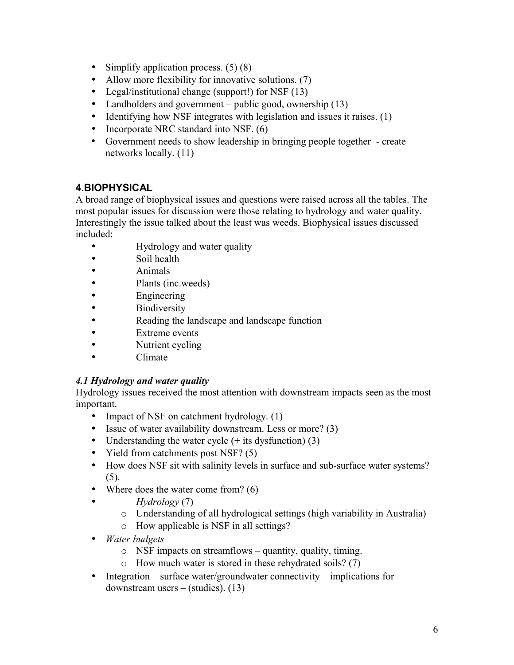- Simplify application process.  $(5)(8)$
- Allow more flexibility for innovative solutions. (7)
- Legal/institutional change (support!) for NSF (13)
- Landholders and government public good, ownership (13)
- Identifying how NSF integrates with legislation and issues it raises. (1)
- Incorporate NRC standard into NSF. (6)
- Government needs to show leadership in bringing people together create networks locally. (11)

## **4.BIOPHYSICAL**

A broad range of biophysical issues and questions were raised across all the tables. The most popular issues for discussion were those relating to hydrology and water quality. Interestingly the issue talked about the least was weeds. Biophysical issues discussed included:

- Hydrology and water quality
- Soil health
- Animals
- Plants (inc.weeds)
- Engineering
- Biodiversity
- Reading the landscape and landscape function
- Extreme events
- Nutrient cycling
- Climate

## *4.1 Hydrology and water quality*

Hydrology issues received the most attention with downstream impacts seen as the most important.

- Impact of NSF on catchment hydrology. (1)
- Issue of water availability downstream. Less or more? (3)
- Understanding the water cycle  $(+$  its dysfunction) (3)
- Yield from catchments post NSF? (5)
- How does NSF sit with salinity levels in surface and sub-surface water systems?  $(5)$ .
- Where does the water come from? (6)
- *Hydrology* (7)
	- o Understanding of all hydrological settings (high variability in Australia)
	- o How applicable is NSF in all settings?
- *Water budgets*
	- o NSF impacts on streamflows quantity, quality, timing.
	- o How much water is stored in these rehydrated soils? (7)
- Integration surface water/groundwater connectivity implications for downstream users – (studies). (13)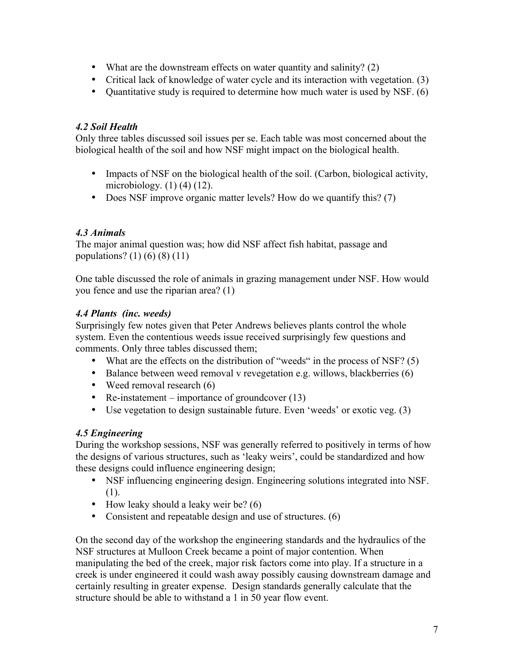- What are the downstream effects on water quantity and salinity? (2)
- Critical lack of knowledge of water cycle and its interaction with vegetation. (3)
- Ouantitative study is required to determine how much water is used by NSF. (6)

#### *4.2 Soil Health*

Only three tables discussed soil issues per se. Each table was most concerned about the biological health of the soil and how NSF might impact on the biological health.

- Impacts of NSF on the biological health of the soil. (Carbon, biological activity, microbiology.  $(1)$   $(4)$   $(12)$ .
- Does NSF improve organic matter levels? How do we quantify this? (7)

#### *4.3 Animals*

The major animal question was; how did NSF affect fish habitat, passage and populations? (1) (6) (8) (11)

One table discussed the role of animals in grazing management under NSF. How would you fence and use the riparian area? (1)

#### *4.4 Plants (inc. weeds)*

Surprisingly few notes given that Peter Andrews believes plants control the whole system. Even the contentious weeds issue received surprisingly few questions and comments. Only three tables discussed them;

- What are the effects on the distribution of "weeds" in the process of NSF? (5)
- Balance between weed removal v revegetation e.g. willows, blackberries (6)
- Weed removal research (6)
- Re-instatement importance of groundcover  $(13)$
- Use vegetation to design sustainable future. Even 'weeds' or exotic veg. (3)

### *4.5 Engineering*

During the workshop sessions, NSF was generally referred to positively in terms of how the designs of various structures, such as 'leaky weirs', could be standardized and how these designs could influence engineering design;

- NSF influencing engineering design. Engineering solutions integrated into NSF. (1).
- How leaky should a leaky weir be?  $(6)$
- Consistent and repeatable design and use of structures. (6)

On the second day of the workshop the engineering standards and the hydraulics of the NSF structures at Mulloon Creek became a point of major contention. When manipulating the bed of the creek, major risk factors come into play. If a structure in a creek is under engineered it could wash away possibly causing downstream damage and certainly resulting in greater expense. Design standards generally calculate that the structure should be able to withstand a 1 in 50 year flow event.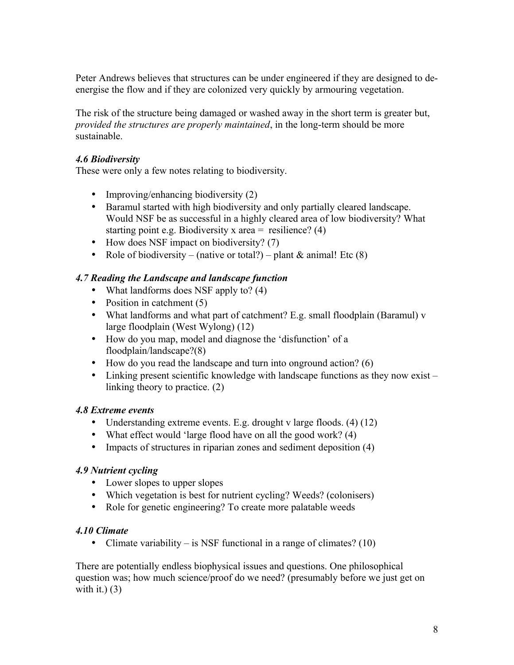Peter Andrews believes that structures can be under engineered if they are designed to deenergise the flow and if they are colonized very quickly by armouring vegetation.

The risk of the structure being damaged or washed away in the short term is greater but, *provided the structures are properly maintained*, in the long-term should be more sustainable.

#### *4.6 Biodiversity*

These were only a few notes relating to biodiversity.

- Improving/enhancing biodiversity (2)
- Baramul started with high biodiversity and only partially cleared landscape. Would NSF be as successful in a highly cleared area of low biodiversity? What starting point e.g. Biodiversity x area  $=$  resilience? (4)
- How does NSF impact on biodiversity? (7)
- Role of biodiversity (native or total?) plant  $&$  animal! Etc (8)

#### *4.7 Reading the Landscape and landscape function*

- What landforms does NSF apply to? (4)
- Position in catchment (5)
- What landforms and what part of catchment? E.g. small floodplain (Baramul) v large floodplain (West Wylong) (12)
- How do you map, model and diagnose the 'disfunction' of a floodplain/landscape?(8)
- How do you read the landscape and turn into onground action? (6)
- Linking present scientific knowledge with landscape functions as they now exist linking theory to practice. (2)

#### *4.8 Extreme events*

- Understanding extreme events. E.g. drought v large floods. (4) (12)
- What effect would 'large flood have on all the good work? (4)
- Impacts of structures in riparian zones and sediment deposition (4)

#### *4.9 Nutrient cycling*

- Lower slopes to upper slopes
- Which vegetation is best for nutrient cycling? Weeds? (colonisers)
- Role for genetic engineering? To create more palatable weeds

#### *4.10 Climate*

• Climate variability – is NSF functional in a range of climates? (10)

There are potentially endless biophysical issues and questions. One philosophical question was; how much science/proof do we need? (presumably before we just get on with it.)  $(3)$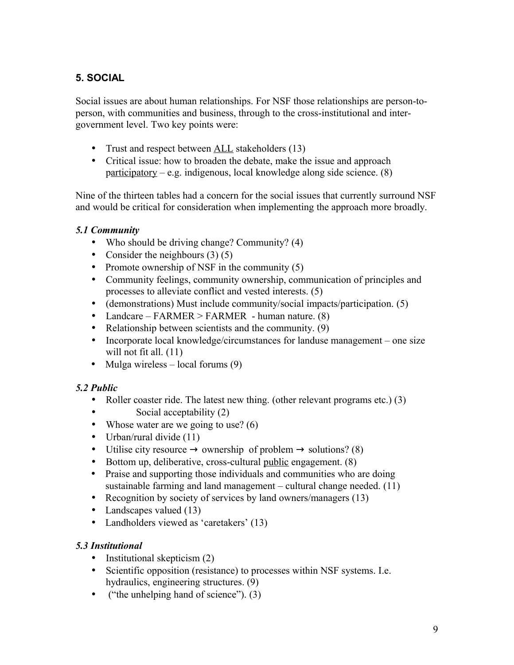## **5. SOCIAL**

Social issues are about human relationships. For NSF those relationships are person-toperson, with communities and business, through to the cross-institutional and intergovernment level. Two key points were:

- Trust and respect between <u>ALL</u> stakeholders (13)
- Critical issue: how to broaden the debate, make the issue and approach participatory – e.g. indigenous, local knowledge along side science.  $(8)$

Nine of the thirteen tables had a concern for the social issues that currently surround NSF and would be critical for consideration when implementing the approach more broadly.

### *5.1 Community*

- Who should be driving change? Community? (4)
- Consider the neighbours  $(3)(5)$
- Promote ownership of NSF in the community (5)
- Community feelings, community ownership, communication of principles and processes to alleviate conflict and vested interests. (5)
- (demonstrations) Must include community/social impacts/participation. (5)
- Landcare FARMER > FARMER human nature. (8)
- Relationship between scientists and the community. (9)
- Incorporate local knowledge/circumstances for landuse management one size will not fit all.  $(11)$
- Mulga wireless local forums  $(9)$

### *5.2 Public*

- Roller coaster ride. The latest new thing. (other relevant programs etc.) (3)
- Social acceptability (2)
- Whose water are we going to use?  $(6)$
- Urban/rural divide  $(11)$
- Utilise city resource  $\rightarrow$  ownership of problem  $\rightarrow$  solutions? (8)
- Bottom up, deliberative, cross-cultural public engagement. (8)
- Praise and supporting those individuals and communities who are doing sustainable farming and land management – cultural change needed. (11)
- Recognition by society of services by land owners/managers (13)
- Landscapes valued (13)
- Landholders viewed as 'caretakers' (13)

#### *5.3 Institutional*

- Institutional skepticism (2)
- Scientific opposition (resistance) to processes within NSF systems. I.e. hydraulics, engineering structures. (9)
- ("the unhelping hand of science"). (3)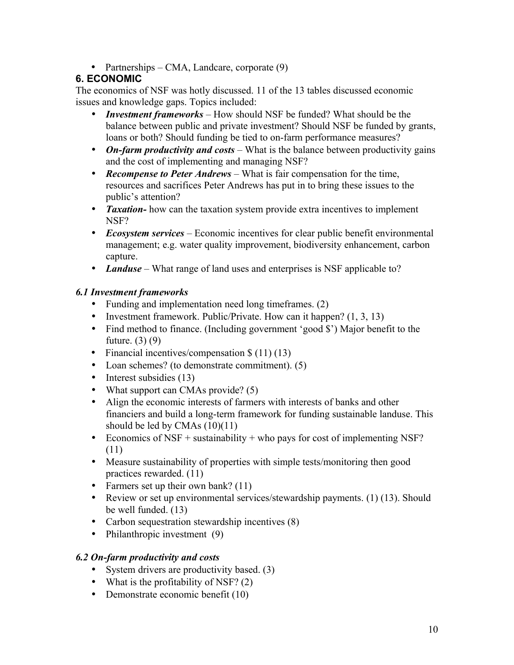• Partnerships – CMA, Landcare, corporate (9)

### **6. ECONOMIC**

The economics of NSF was hotly discussed. 11 of the 13 tables discussed economic issues and knowledge gaps. Topics included:

- *Investment frameworks* How should NSF be funded? What should be the balance between public and private investment? Should NSF be funded by grants, loans or both? Should funding be tied to on-farm performance measures?
- *On-farm productivity and costs* What is the balance between productivity gains and the cost of implementing and managing NSF?
- *Recompense to Peter Andrews* What is fair compensation for the time, resources and sacrifices Peter Andrews has put in to bring these issues to the public's attention?
- **Taxation-** how can the taxation system provide extra incentives to implement NSF?
- *Ecosystem services*  Economic incentives for clear public benefit environmental management; e.g. water quality improvement, biodiversity enhancement, carbon capture.
- *Landuse* What range of land uses and enterprises is NSF applicable to?

#### *6.1 Investment frameworks*

- Funding and implementation need long timeframes. (2)
- Investment framework. Public/Private. How can it happen?  $(1, 3, 13)$
- Find method to finance. (Including government 'good \$') Major benefit to the future. (3) (9)
- Financial incentives/compensation \$ (11) (13)
- Loan schemes? (to demonstrate commitment). (5)
- Interest subsidies (13)
- What support can CMAs provide? (5)
- Align the economic interests of farmers with interests of banks and other financiers and build a long-term framework for funding sustainable landuse. This should be led by CMAs (10)(11)
- Economics of NSF + sustainability + who pays for cost of implementing NSF? (11)
- Measure sustainability of properties with simple tests/monitoring then good practices rewarded. (11)
- Farmers set up their own bank? (11)
- Review or set up environmental services/stewardship payments. (1) (13). Should be well funded. (13)
- Carbon sequestration stewardship incentives (8)
- Philanthropic investment (9)

#### *6.2 On-farm productivity and costs*

- System drivers are productivity based. (3)
- What is the profitability of NSF? (2)
- Demonstrate economic benefit (10)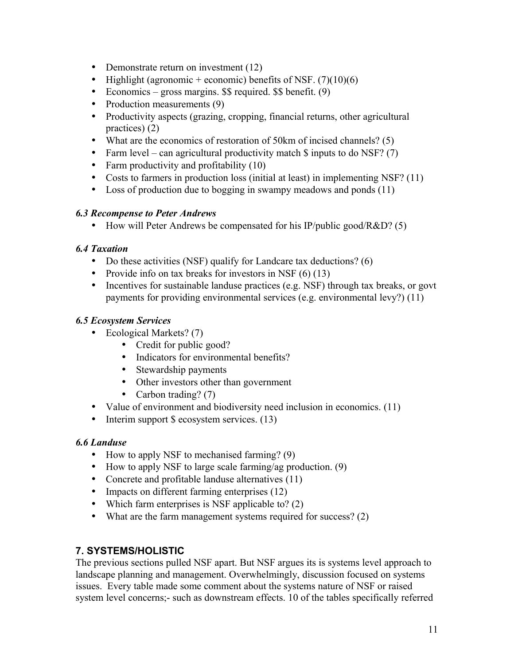- Demonstrate return on investment (12)
- Highlight (agronomic + economic) benefits of NSF.  $(7)(10)(6)$
- Economics gross margins. \$\$ required. \$\$ benefit. (9)
- Production measurements (9)
- Productivity aspects (grazing, cropping, financial returns, other agricultural practices) (2)
- What are the economics of restoration of 50km of incised channels? (5)
- Farm level can agricultural productivity match  $\frac{1}{2}$  inputs to do NSF? (7)
- Farm productivity and profitability (10)
- Costs to farmers in production loss (initial at least) in implementing NSF? (11)
- Loss of production due to bogging in swampy meadows and ponds (11)

#### *6.3 Recompense to Peter Andrews*

• How will Peter Andrews be compensated for his IP/public good/R&D? (5)

#### *6.4 Taxation*

- Do these activities (NSF) qualify for Landcare tax deductions? (6)
- Provide info on tax breaks for investors in NSF  $(6)$  (13)
- Incentives for sustainable landuse practices (e.g. NSF) through tax breaks, or govt payments for providing environmental services (e.g. environmental levy?) (11)

#### *6.5 Ecosystem Services*

- Ecological Markets? (7)
	- Credit for public good?
	- Indicators for environmental benefits?
	- Stewardship payments
	- Other investors other than government
	- Carbon trading? (7)
- Value of environment and biodiversity need inclusion in economics. (11)
- Interim support \$ ecosystem services. (13)

#### *6.6 Landuse*

- How to apply NSF to mechanised farming? (9)
- How to apply NSF to large scale farming/ag production. (9)
- Concrete and profitable landuse alternatives (11)
- Impacts on different farming enterprises (12)
- Which farm enterprises is NSF applicable to? (2)
- What are the farm management systems required for success? (2)

### **7. SYSTEMS/HOLISTIC**

The previous sections pulled NSF apart. But NSF argues its is systems level approach to landscape planning and management. Overwhelmingly, discussion focused on systems issues. Every table made some comment about the systems nature of NSF or raised system level concerns;- such as downstream effects. 10 of the tables specifically referred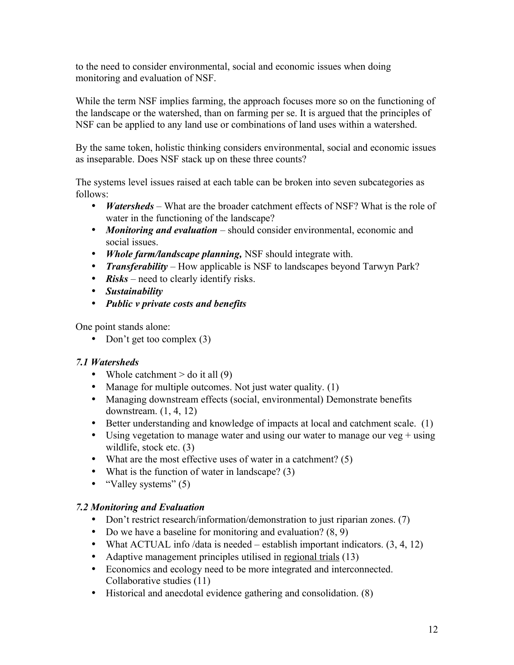to the need to consider environmental, social and economic issues when doing monitoring and evaluation of NSF.

While the term NSF implies farming, the approach focuses more so on the functioning of the landscape or the watershed, than on farming per se. It is argued that the principles of NSF can be applied to any land use or combinations of land uses within a watershed.

By the same token, holistic thinking considers environmental, social and economic issues as inseparable. Does NSF stack up on these three counts?

The systems level issues raised at each table can be broken into seven subcategories as follows:

- *Watersheds* What are the broader catchment effects of NSF? What is the role of water in the functioning of the landscape?
- *Monitoring and evaluation* should consider environmental, economic and social issues.
- *Whole farm/landscape planning,* NSF should integrate with.
- *Transferability* How applicable is NSF to landscapes beyond Tarwyn Park?
- **Risks** need to clearly identify risks.
- *Sustainability*
- *Public v private costs and benefits*

One point stands alone:

• Don't get too complex (3)

#### *7.1 Watersheds*

- Whole catchment  $>$  do it all (9)
- Manage for multiple outcomes. Not just water quality. (1)
- Managing downstream effects (social, environmental) Demonstrate benefits downstream. (1, 4, 12)
- Better understanding and knowledge of impacts at local and catchment scale. (1)
- Using vegetation to manage water and using our water to manage our veg  $+$  using wildlife, stock etc. (3)
- What are the most effective uses of water in a catchment? (5)
- What is the function of water in landscape? (3)
- "Valley systems" (5)

#### *7.2 Monitoring and Evaluation*

- Don't restrict research/information/demonstration to just riparian zones. (7)
- Do we have a baseline for monitoring and evaluation?  $(8, 9)$
- What ACTUAL info /data is needed establish important indicators.  $(3, 4, 12)$
- Adaptive management principles utilised in regional trials (13)
- Economics and ecology need to be more integrated and interconnected. Collaborative studies (11)
- Historical and anecdotal evidence gathering and consolidation. (8)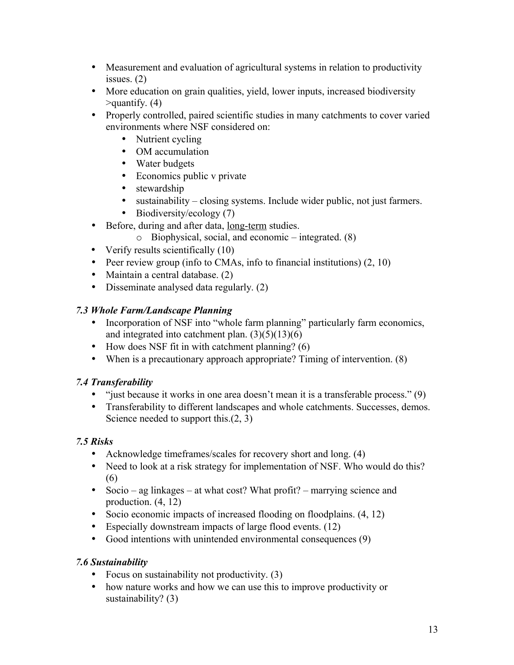- Measurement and evaluation of agricultural systems in relation to productivity issues. (2)
- More education on grain qualities, yield, lower inputs, increased biodiversity  $\alpha$  approximatify. (4)
- Properly controlled, paired scientific studies in many catchments to cover varied environments where NSF considered on:
	- Nutrient cycling
	- OM accumulation
	- Water budgets
	- Economics public v private
	- stewardship
	- sustainability closing systems. Include wider public, not just farmers.
	- Biodiversity/ecology (7)
- Before, during and after data, long-term studies.
	- o Biophysical, social, and economic integrated. (8)
- Verify results scientifically (10)
- Peer review group (info to CMAs, info to financial institutions) (2, 10)
- Maintain a central database. (2)
- Disseminate analysed data regularly. (2)

### *7.3 Whole Farm/Landscape Planning*

- Incorporation of NSF into "whole farm planning" particularly farm economics, and integrated into catchment plan.  $(3)(5)(13)(6)$
- How does NSF fit in with catchment planning?  $(6)$
- When is a precautionary approach appropriate? Timing of intervention. (8)

## *7.4 Transferability*

- "just because it works in one area doesn't mean it is a transferable process." (9)
- Transferability to different landscapes and whole catchments. Successes, demos. Science needed to support this.(2, 3)

## *7.5 Risks*

- Acknowledge timeframes/scales for recovery short and long. (4)
- Need to look at a risk strategy for implementation of NSF. Who would do this? (6)
- Socio ag linkages at what cost? What profit? marrying science and production. (4, 12)
- Socio economic impacts of increased flooding on floodplains.  $(4, 12)$
- Especially downstream impacts of large flood events. (12)
- Good intentions with unintended environmental consequences (9)

## *7.6 Sustainability*

- Focus on sustainability not productivity. (3)
- how nature works and how we can use this to improve productivity or sustainability? (3)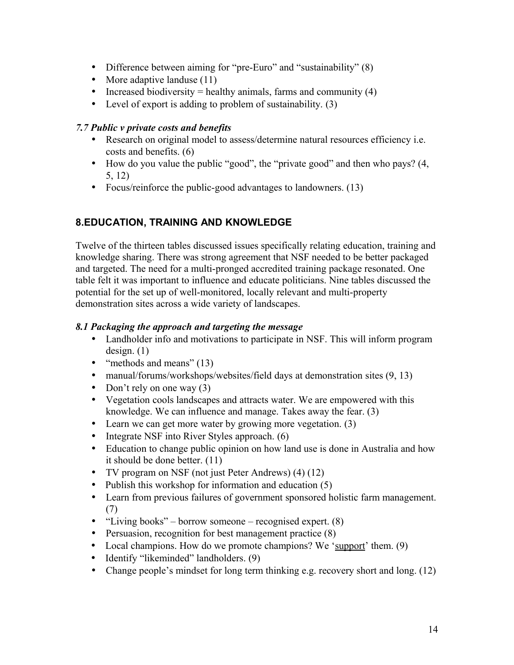- Difference between aiming for "pre-Euro" and "sustainability" (8)
- More adaptive landuse (11)
- Increased biodiversity = healthy animals, farms and community  $(4)$
- Level of export is adding to problem of sustainability. (3)

#### *7.7 Public v private costs and benefits*

- Research on original model to assess/determine natural resources efficiency i.e. costs and benefits. (6)
- How do you value the public "good", the "private good" and then who pays? (4, 5, 12)
- Focus/reinforce the public-good advantages to landowners. (13)

## **8.EDUCATION, TRAINING AND KNOWLEDGE**

Twelve of the thirteen tables discussed issues specifically relating education, training and knowledge sharing. There was strong agreement that NSF needed to be better packaged and targeted. The need for a multi-pronged accredited training package resonated. One table felt it was important to influence and educate politicians. Nine tables discussed the potential for the set up of well-monitored, locally relevant and multi-property demonstration sites across a wide variety of landscapes.

#### *8.1 Packaging the approach and targeting the message*

- Landholder info and motivations to participate in NSF. This will inform program design. (1)
- "methods and means" (13)
- manual/forums/workshops/websites/field days at demonstration sites (9, 13)
- Don't rely on one way (3)
- Vegetation cools landscapes and attracts water. We are empowered with this knowledge. We can influence and manage. Takes away the fear. (3)
- Learn we can get more water by growing more vegetation. (3)
- Integrate NSF into River Styles approach. (6)
- Education to change public opinion on how land use is done in Australia and how it should be done better. (11)
- TV program on NSF (not just Peter Andrews) (4) (12)
- Publish this workshop for information and education (5)
- Learn from previous failures of government sponsored holistic farm management. (7)
- "Living books" borrow someone recognised expert. (8)
- Persuasion, recognition for best management practice (8)
- Local champions. How do we promote champions? We 'support' them. (9)
- Identify "likeminded" landholders. (9)
- Change people's mindset for long term thinking e.g. recovery short and long. (12)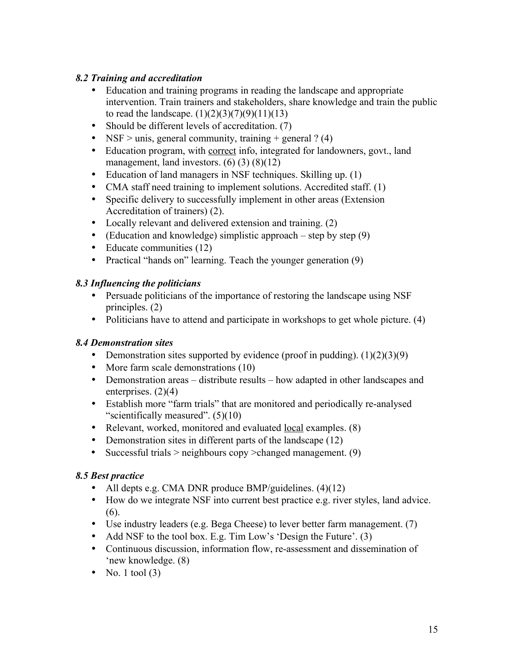### *8.2 Training and accreditation*

- Education and training programs in reading the landscape and appropriate intervention. Train trainers and stakeholders, share knowledge and train the public to read the landscape.  $(1)(2)(3)(7)(9)(11)(13)$
- Should be different levels of accreditation. (7)
- NSF > unis, general community, training + general  $? (4)$
- Education program, with correct info, integrated for landowners, govt., land management, land investors.  $(6)(3)(8)(12)$
- Education of land managers in NSF techniques. Skilling up. (1)
- CMA staff need training to implement solutions. Accredited staff. (1)
- Specific delivery to successfully implement in other areas (Extension Accreditation of trainers) (2).
- Locally relevant and delivered extension and training. (2)
- (Education and knowledge) simplistic approach step by step  $(9)$
- Educate communities (12)
- Practical "hands on" learning. Teach the younger generation (9)

#### *8.3 Influencing the politicians*

- Persuade politicians of the importance of restoring the landscape using NSF principles. (2)
- Politicians have to attend and participate in workshops to get whole picture. (4)

### *8.4 Demonstration sites*

- Demonstration sites supported by evidence (proof in pudding).  $(1)(2)(3)(9)$
- More farm scale demonstrations (10)
- Demonstration areas distribute results how adapted in other landscapes and enterprises. (2)(4)
- Establish more "farm trials" that are monitored and periodically re-analysed "scientifically measured".  $(5)(10)$
- Relevant, worked, monitored and evaluated <u>local</u> examples. (8)
- Demonstration sites in different parts of the landscape (12)
- Successful trials > neighbours copy > changed management. (9)

### *8.5 Best practice*

- All depts e.g. CMA DNR produce BMP/guidelines. (4)(12)
- How do we integrate NSF into current best practice e.g. river styles, land advice. (6).
- Use industry leaders (e.g. Bega Cheese) to lever better farm management. (7)
- Add NSF to the tool box. E.g. Tim Low's 'Design the Future'.  $(3)$
- Continuous discussion, information flow, re-assessment and dissemination of 'new knowledge. (8)
- No. 1 tool  $(3)$